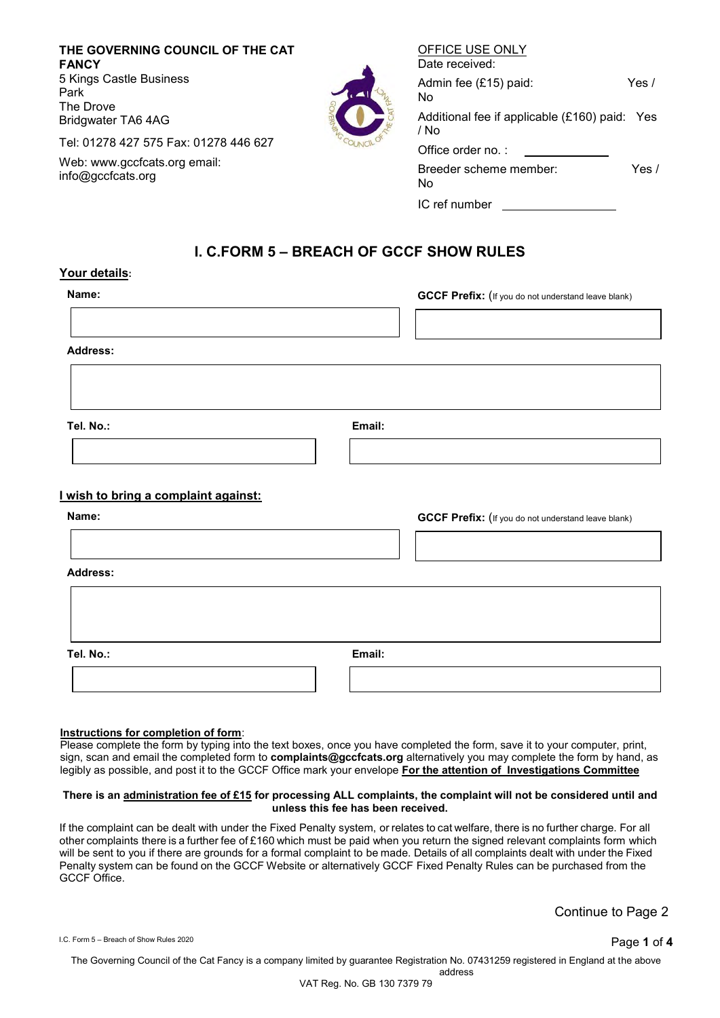**THE GOVERNING COUNCIL OF THE CAT FANCY** 5 Kings Castle Business Park The Drove Bridgwater TA6 4AG

Tel: 01278 427 575 Fax: 01278 446 627

Web: [www.gccfcats.org e](http://www.gccfcats.org/)mail: [info@gccfcats.org](mailto:info@gccfcats.org)



| Date received:                                        |       |
|-------------------------------------------------------|-------|
| Admin fee (£15) paid:<br>No                           | Yes / |
| Additional fee if applicable (£160) paid: Yes<br>/ No |       |
| Office order no.:                                     |       |
| Breeder scheme member:<br>No                          | Yes / |
| IC ref number                                         |       |

OFFICE USE ONLY

# **I. C.FORM 5 – BREACH OF GCCF SHOW RULES**

#### **Your details:**

| Name:           | <b>GCCF Prefix:</b> (If you do not understand leave blank) |
|-----------------|------------------------------------------------------------|
|                 |                                                            |
| <b>Address:</b> |                                                            |

**Tel. No.: Email:**

### **I wish to bring a complaint against:**

| Name:           |        | <b>GCCF Prefix:</b> (If you do not understand leave blank) |
|-----------------|--------|------------------------------------------------------------|
|                 |        |                                                            |
| <b>Address:</b> |        |                                                            |
|                 |        |                                                            |
|                 |        |                                                            |
| Tel. No.:       | Email: |                                                            |
|                 |        |                                                            |

#### **Instructions for completion of form**:

Please complete the form by typing into the text boxes, once you have completed the form, save it to your computer, print, sign, scan and email the completed form to **complaints@gccfcats.org** alternatively you may complete the form by hand, as legibly as possible, and post it to the GCCF Office mark your envelope **For the attention of Investigations Committee**

#### **There is an administration fee of £15 for processing ALL complaints, the complaint will not be considered until and unless this fee has been received.**

If the complaint can be dealt with under the Fixed Penalty system, or relates to cat welfare, there is no further charge. For all other complaints there is a further fee of £160 which must be paid when you return the signed relevant complaints form which will be sent to you if there are grounds for a formal complaint to be made. Details of all complaints dealt with under the Fixed Penalty system can be found on the GCCF Website or alternatively GCCF Fixed Penalty Rules can be purchased from the GCCF Office.

Continue to Page 2

I.C. Form 5 – Breach of Show Rules <sup>2020</sup> Page **1** of **4**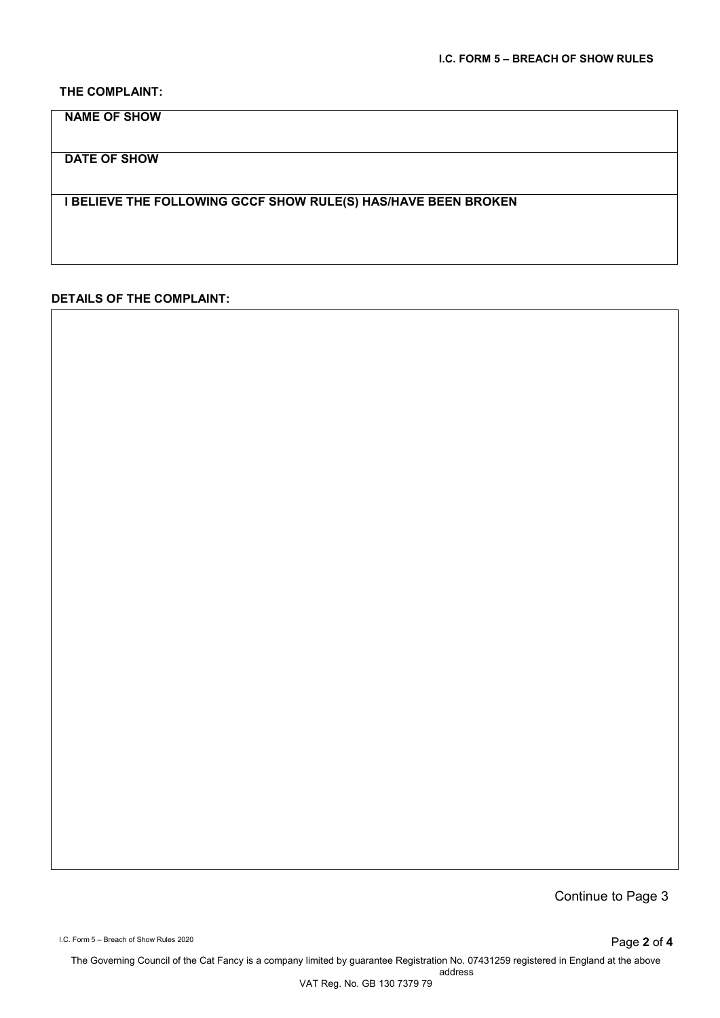### **THE COMPLAINT:**

**NAME OF SHOW**

**DATE OF SHOW**

**I BELIEVE THE FOLLOWING GCCF SHOW RULE(S) HAS/HAVE BEEN BROKEN**

## **DETAILS OF THE COMPLAINT:**

Continue to Page 3

I.C. Form 5 – Breach of Show Rules 2020 **Page 2 of 4**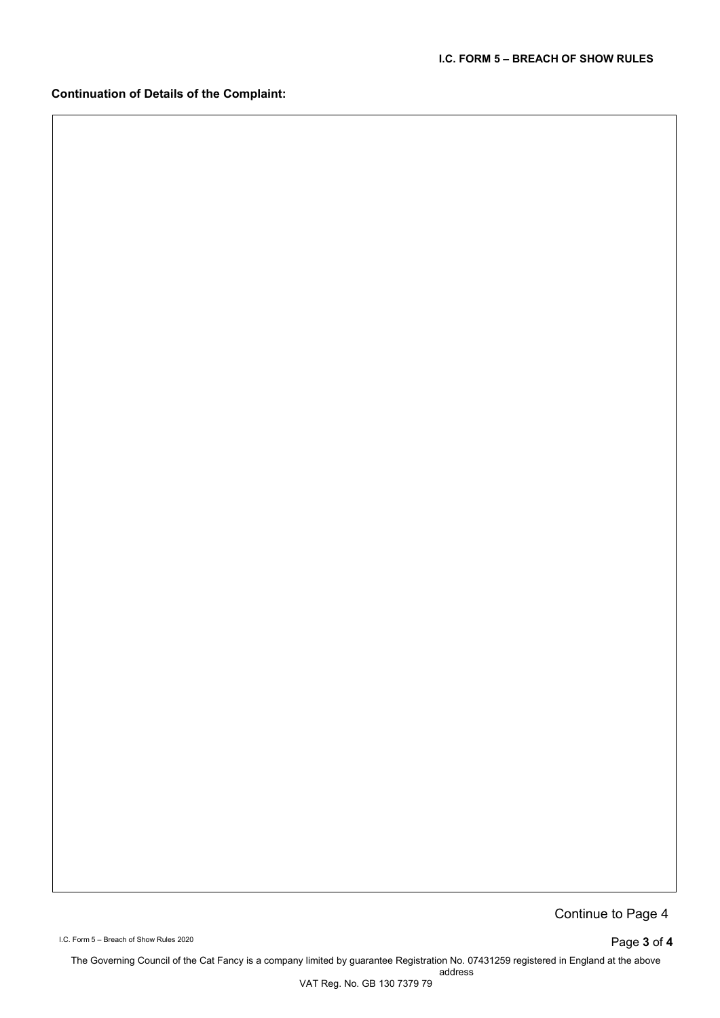# **Continuation of Details of the Complaint:**

Continue to Page 4

I.C. Form 5 – Breach of Show Rules 2020 **Page 3 of 4**